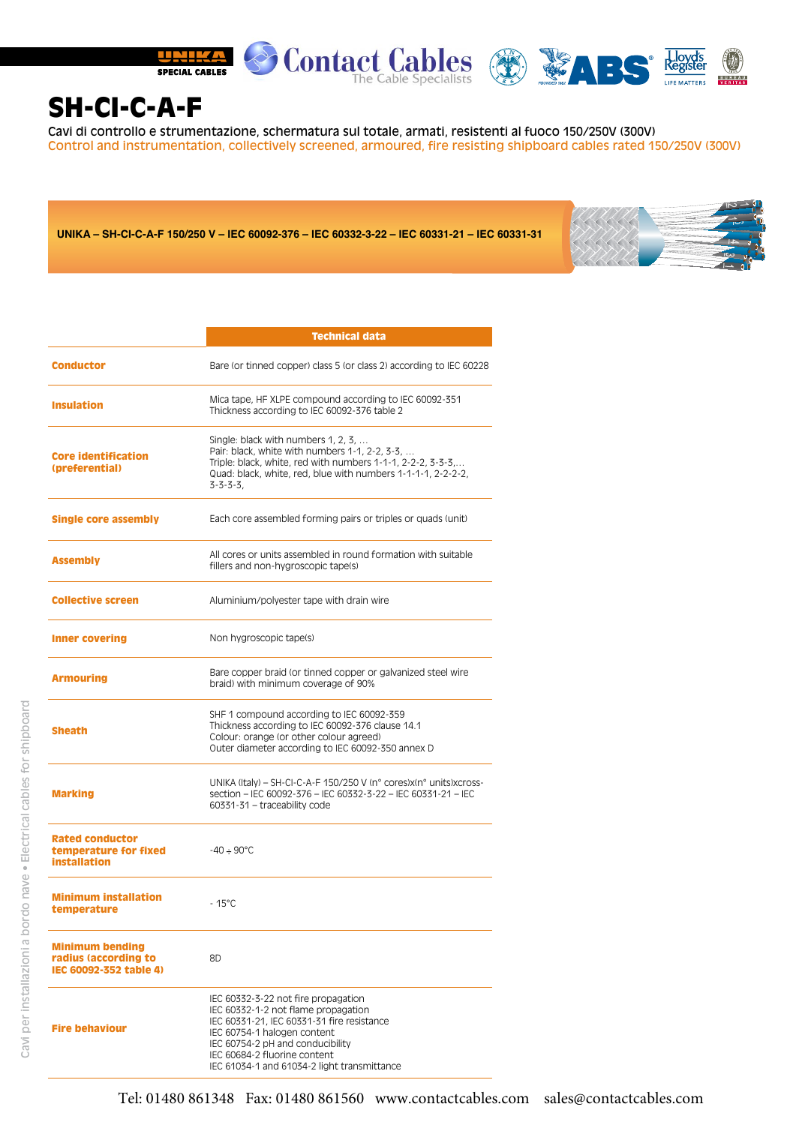

## SH-CI-C-A-F

Cavi di controllo e strumentazione, schermatura sul totale, armati, resistenti al fuoco 150/250V (300V) Control and instrumentation, collectively screened, armoured, fire resisting shipboard cables rated 150/250V (300V)

**UNIKA – SH-CI-C-A-F 150/250 V – IEC 60092-376 – IEC 60332-3-22 – IEC 60331-21 – IEC 60331-31**



|                                                                          | <b>Technical data</b>                                                                                                                                                                                                                              |  |  |  |
|--------------------------------------------------------------------------|----------------------------------------------------------------------------------------------------------------------------------------------------------------------------------------------------------------------------------------------------|--|--|--|
| <b>Conductor</b>                                                         | Bare (or tinned copper) class 5 (or class 2) according to IEC 60228                                                                                                                                                                                |  |  |  |
| <b>Insulation</b>                                                        | Mica tape, HF XLPE compound according to IEC 60092-351<br>Thickness according to IEC 60092-376 table 2                                                                                                                                             |  |  |  |
| <b>Core identification</b><br>(preferential)                             | Single: black with numbers $1, 2, 3, \ldots$<br>Pair: black, white with numbers 1-1, 2-2, 3-3,<br>Triple: black, white, red with numbers 1-1-1, 2-2-2, 3-3-3,<br>Quad: black, white, red, blue with numbers 1-1-1-1, 2-2-2-2,<br>$3 - 3 - 3 - 3$ , |  |  |  |
| <b>Single core assembly</b>                                              | Each core assembled forming pairs or triples or quads (unit)                                                                                                                                                                                       |  |  |  |
| <b>Assembly</b>                                                          | All cores or units assembled in round formation with suitable<br>fillers and non-hygroscopic tape(s)                                                                                                                                               |  |  |  |
| <b>Collective screen</b>                                                 | Aluminium/polyester tape with drain wire                                                                                                                                                                                                           |  |  |  |
| <b>Inner covering</b>                                                    | Non hygroscopic tape(s)                                                                                                                                                                                                                            |  |  |  |
| <b>Armouring</b>                                                         | Bare copper braid (or tinned copper or galvanized steel wire<br>braid) with minimum coverage of 90%                                                                                                                                                |  |  |  |
| <b>Sheath</b>                                                            | SHF 1 compound according to IEC 60092-359<br>Thickness according to IEC 60092-376 clause 14.1<br>Colour: orange (or other colour agreed)<br>Outer diameter according to IEC 60092-350 annex D                                                      |  |  |  |
| <b>Marking</b>                                                           | UNIKA (Italy) - SH-CI-C-A-F 150/250 V (n° cores)x(n° units)xcross-<br>section - IEC 60092-376 - IEC 60332-3-22 - IEC 60331-21 - IEC<br>60331-31 - traceability code                                                                                |  |  |  |
| <b>Rated conductor</b><br>temperature for fixed<br><b>installation</b>   | $-40 \div 90^{\circ}$ C                                                                                                                                                                                                                            |  |  |  |
| <b>Minimum installation</b><br>temperature                               | $-15^{\circ}$ C                                                                                                                                                                                                                                    |  |  |  |
| <b>Minimum bending</b><br>radius (according to<br>IEC 60092-352 table 4) | 8D                                                                                                                                                                                                                                                 |  |  |  |
| <b>Fire behaviour</b>                                                    | IEC 60332-3-22 not fire propagation<br>IEC 60332-1-2 not flame propagation<br>IEC 60331-21, IEC 60331-31 fire resistance<br>IEC 60754-1 halogen content<br>IEC 60754-2 pH and conducibility<br>IEC 60684-2 fluorine content                        |  |  |  |

IEC 61034-1 and 61034-2 light transmittance